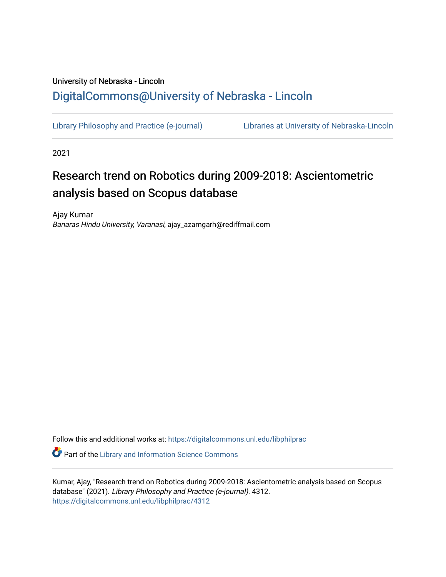## University of Nebraska - Lincoln [DigitalCommons@University of Nebraska - Lincoln](https://digitalcommons.unl.edu/)

[Library Philosophy and Practice \(e-journal\)](https://digitalcommons.unl.edu/libphilprac) [Libraries at University of Nebraska-Lincoln](https://digitalcommons.unl.edu/libraries) 

2021

# Research trend on Robotics during 2009-2018: Ascientometric analysis based on Scopus database

Ajay Kumar Banaras Hindu University, Varanasi, ajay\_azamgarh@rediffmail.com

Follow this and additional works at: [https://digitalcommons.unl.edu/libphilprac](https://digitalcommons.unl.edu/libphilprac?utm_source=digitalcommons.unl.edu%2Flibphilprac%2F4312&utm_medium=PDF&utm_campaign=PDFCoverPages) 

**Part of the Library and Information Science Commons** 

Kumar, Ajay, "Research trend on Robotics during 2009-2018: Ascientometric analysis based on Scopus database" (2021). Library Philosophy and Practice (e-journal). 4312. [https://digitalcommons.unl.edu/libphilprac/4312](https://digitalcommons.unl.edu/libphilprac/4312?utm_source=digitalcommons.unl.edu%2Flibphilprac%2F4312&utm_medium=PDF&utm_campaign=PDFCoverPages)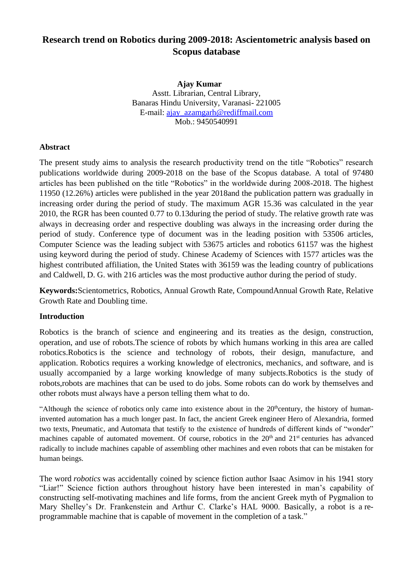## **Research trend on Robotics during 2009-2018: Ascientometric analysis based on Scopus database**

 **Ajay Kumar** Asstt. Librarian, Central Library, Banaras Hindu University, Varanasi- 221005 E-mail: [ajay\\_azamgarh@rediffmail.com](mailto:ajay_azamgarh@rediffmail.com) Mob.: 9450540991

## **Abstract**

The present study aims to analysis the research productivity trend on the title "Robotics" research publications worldwide during 2009-2018 on the base of the Scopus database. A total of 97480 articles has been published on the title "Robotics" in the worldwide during 2008-2018. The highest 11950 (12.26%) articles were published in the year 2018and the publication pattern was gradually in increasing order during the period of study. The maximum AGR 15.36 was calculated in the year 2010, the RGR has been counted 0.77 to 0.13during the period of study. The relative growth rate was always in decreasing order and respective doubling was always in the increasing order during the period of study. Conference type of document was in the leading position with 53506 articles, Computer Science was the leading subject with 53675 articles and robotics 61157 was the highest using keyword during the period of study. Chinese Academy of Sciences with 1577 articles was the highest contributed affiliation, the United States with 36159 was the leading country of publications and Caldwell, D. G. with 216 articles was the most productive author during the period of study.

**Keywords:**Scientometrics, Robotics, Annual Growth Rate, CompoundAnnual Growth Rate, Relative Growth Rate and Doubling time.

#### **Introduction**

Robotics is the branch of science and engineering and its treaties as the design, construction, operation, and use of robots.The science of robots by which humans working in this area are called robotics.Robotics is the science and technology of robots, their design, manufacture, and application. Robotics requires a working knowledge of electronics, mechanics, and software, and is usually accompanied by a large working knowledge of many subjects.Robotics is the study of robots,robots are machines that can be used to do jobs. Some robots can do work by themselves and other robots must always have a person telling them what to do.

"Although the science of [robotics](https://www.thomasnet.com/products/robotics-68643758-1.html) only came into existence about in the 20<sup>th</sup>century, the history of humaninvented automation has a much longer past. In fact, the ancient Greek engineer Hero of Alexandria, formed two texts, Pneumatic, and Automata that testify to the existence of hundreds of different kinds of "wonder" machines capable of automated movement. Of course, robotics in the  $20<sup>th</sup>$  and  $21<sup>st</sup>$  centuries has advanced radically to include machines capable of assembling other machines and even robots that can be mistaken for human beings.

The word *robotics* was accidentally coined by science fiction author Isaac Asimov in his 1941 story "Liar!" Science fiction authors throughout history have been interested in man's capability of constructing self-motivating machines and life forms, from the ancient Greek myth of Pygmalion to Mary Shelley's Dr. Frankenstein and Arthur C. Clarke's HAL 9000. Basically, a robot is a reprogrammable machine that is capable of movement in the completion of a task."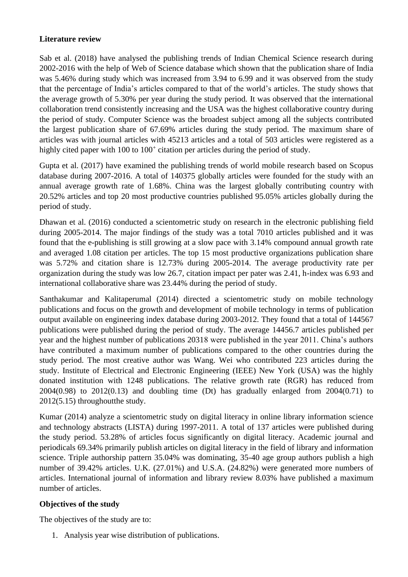## **Literature review**

Sab et al. (2018) have analysed the publishing trends of Indian Chemical Science research during 2002-2016 with the help of Web of Science database which shown that the publication share of India was 5.46% during study which was increased from 3.94 to 6.99 and it was observed from the study that the percentage of India's articles compared to that of the world's articles. The study shows that the average growth of 5.30% per year during the study period. It was observed that the international collaboration trend consistently increasing and the USA was the highest collaborative country during the period of study. Computer Science was the broadest subject among all the subjects contributed the largest publication share of 67.69% articles during the study period. The maximum share of articles was with journal articles with 45213 articles and a total of 503 articles were registered as a highly cited paper with 100 to 100<sup>+</sup> citation per articles during the period of study.

Gupta et al. (2017) have examined the publishing trends of world mobile research based on Scopus database during 2007-2016. A total of 140375 globally articles were founded for the study with an annual average growth rate of 1.68%. China was the largest globally contributing country with 20.52% articles and top 20 most productive countries published 95.05% articles globally during the period of study.

Dhawan et al. (2016) conducted a scientometric study on research in the electronic publishing field during 2005-2014. The major findings of the study was a total 7010 articles published and it was found that the e-publishing is still growing at a slow pace with 3.14% compound annual growth rate and averaged 1.08 citation per articles. The top 15 most productive organizations publication share was 5.72% and citation share is 12.73% during 2005-2014. The average productivity rate per organization during the study was low 26.7, citation impact per pater was 2.41, h-index was 6.93 and international collaborative share was 23.44% during the period of study.

Santhakumar and Kalitaperumal (2014) directed a scientometric study on mobile technology publications and focus on the growth and development of mobile technology in terms of publication output available on engineering index database during 2003-2012. They found that a total of 144567 publications were published during the period of study. The average 14456.7 articles published per year and the highest number of publications 20318 were published in the year 2011. China's authors have contributed a maximum number of publications compared to the other countries during the study period. The most creative author was Wang. Wei who contributed 223 articles during the study. Institute of Electrical and Electronic Engineering (IEEE) New York (USA) was the highly donated institution with 1248 publications. The relative growth rate (RGR) has reduced from 2004(0.98) to 2012(0.13) and doubling time (Dt) has gradually enlarged from 2004(0.71) to 2012(5.15) throughoutthe study.

Kumar (2014) analyze a scientometric study on digital literacy in online library information science and technology abstracts (LISTA) during 1997-2011. A total of 137 articles were published during the study period. 53.28% of articles focus significantly on digital literacy. Academic journal and periodicals 69.34% primarily publish articles on digital literacy in the field of library and information science. Triple authorship pattern 35.04% was dominating, 35-40 age group authors publish a high number of 39.42% articles. U.K. (27.01%) and U.S.A. (24.82%) were generated more numbers of articles. International journal of information and library review 8.03% have published a maximum number of articles.

## **Objectives of the study**

The objectives of the study are to:

1. Analysis year wise distribution of publications.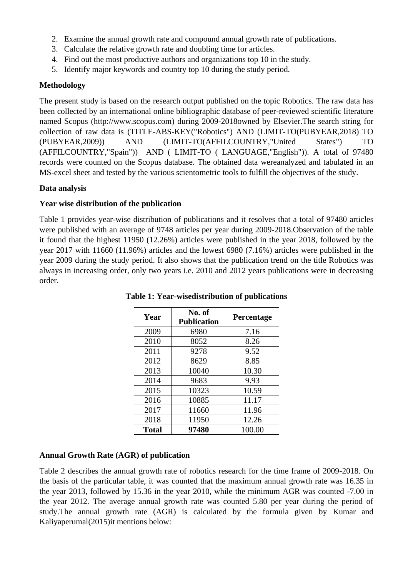- 2. Examine the annual growth rate and compound annual growth rate of publications.
- 3. Calculate the relative growth rate and doubling time for articles.
- 4. Find out the most productive authors and organizations top 10 in the study.
- 5. Identify major keywords and country top 10 during the study period.

## **Methodology**

The present study is based on the research output published on the topic Robotics. The raw data has been collected by an international online bibliographic database of peer-reviewed scientific literature named Scopus (http://www.scopus.com) during 2009-2018owned by Elsevier.The search string for collection of raw data is (TITLE-ABS-KEY("Robotics") AND (LIMIT-TO(PUBYEAR,2018) TO (PUBYEAR,2009)) AND (LIMIT-TO(AFFILCOUNTRY,"United States") TO (AFFILCOUNTRY,"Spain")) AND ( LIMIT-TO ( LANGUAGE,"English")). A total of 97480 records were counted on the Scopus database. The obtained data wereanalyzed and tabulated in an MS-excel sheet and tested by the various scientometric tools to fulfill the objectives of the study.

## **Data analysis**

## **Year wise distribution of the publication**

Table 1 provides year-wise distribution of publications and it resolves that a total of 97480 articles were published with an average of 9748 articles per year during 2009-2018.Observation of the table it found that the highest 11950 (12.26%) articles were published in the year 2018, followed by the year 2017 with 11660 (11.96%) articles and the lowest 6980 (7.16%) articles were published in the year 2009 during the study period. It also shows that the publication trend on the title Robotics was always in increasing order, only two years i.e. 2010 and 2012 years publications were in decreasing order.

| Year         | No. of<br><b>Publication</b> | Percentage |
|--------------|------------------------------|------------|
| 2009         | 6980                         | 7.16       |
| 2010         | 8052                         | 8.26       |
| 2011         | 9278                         | 9.52       |
| 2012         | 8629                         | 8.85       |
| 2013         | 10040                        | 10.30      |
| 2014         | 9683                         | 9.93       |
| 2015         | 10323                        | 10.59      |
| 2016         | 10885                        | 11.17      |
| 2017         | 11660                        | 11.96      |
| 2018         | 11950                        | 12.26      |
| <b>Total</b> | 97480                        | 100.00     |

**Table 1: Year-wisedistribution of publications**

## **Annual Growth Rate (AGR) of publication**

Table 2 describes the annual growth rate of robotics research for the time frame of 2009-2018. On the basis of the particular table, it was counted that the maximum annual growth rate was 16.35 in the year 2013, followed by 15.36 in the year 2010, while the minimum AGR was counted -7.00 in the year 2012. The average annual growth rate was counted 5.80 per year during the period of study.The annual growth rate (AGR) is calculated by the formula given by Kumar and Kaliyaperumal(2015)it mentions below: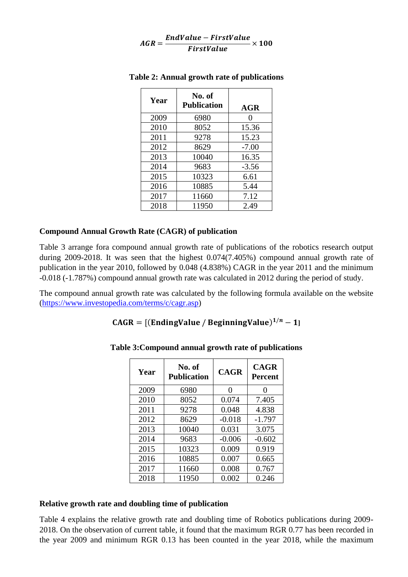$$
AGR = \frac{EndValue - FirstValue}{FirstValue} \times 100
$$

| Year | No. of<br><b>Publication</b> | <b>AGR</b>        |
|------|------------------------------|-------------------|
| 2009 | 6980                         | $\mathbf{\Omega}$ |
| 2010 | 8052                         | 15.36             |
| 2011 | 9278                         | 15.23             |
| 2012 | 8629                         | $-7.00$           |
| 2013 | 10040                        | 16.35             |
| 2014 | 9683                         | $-3.56$           |
| 2015 | 10323                        | 6.61              |
| 2016 | 10885                        | 5.44              |
| 2017 | 11660                        | 7.12              |
| 2018 | 11950                        | 2.49              |

#### **Table 2: Annual growth rate of publications**

#### **Compound Annual Growth Rate (CAGR) of publication**

Table 3 arrange fora compound annual growth rate of publications of the robotics research output during 2009-2018. It was seen that the highest 0.074(7.405%) compound annual growth rate of publication in the year 2010, followed by 0.048 (4.838%) CAGR in the year 2011 and the minimum -0.018 (-1.787%) compound annual growth rate was calculated in 2012 during the period of study.

The compound annual growth rate was calculated by the following formula available on the website [\(https://www.investopedia.com/terms/c/cagr.asp\)](https://www.investopedia.com/terms/c/cagr.asp)

## $CAGR = [(EndingValue / BeginningValue)^{1/n} - 1]$

| Year | No. of<br><b>Publication</b> | <b>CAGR</b> | <b>CAGR</b><br><b>Percent</b> |
|------|------------------------------|-------------|-------------------------------|
| 2009 | 6980                         | 0           | 0                             |
| 2010 | 8052                         | 0.074       | 7.405                         |
| 2011 | 9278                         | 0.048       | 4.838                         |
| 2012 | 8629                         | $-0.018$    | $-1.797$                      |
| 2013 | 10040                        | 0.031       | 3.075                         |
| 2014 | 9683                         | $-0.006$    | $-0.602$                      |
| 2015 | 10323                        | 0.009       | 0.919                         |
| 2016 | 10885                        | 0.007       | 0.665                         |
| 2017 | 11660                        | 0.008       | 0.767                         |
| 2018 | 11950                        | 0.002       | 0.246                         |

**Table 3:Compound annual growth rate of publications**

#### **Relative growth rate and doubling time of publication**

Table 4 explains the relative growth rate and doubling time of Robotics publications during 2009- 2018. On the observation of current table, it found that the maximum RGR 0.77 has been recorded in the year 2009 and minimum RGR 0.13 has been counted in the year 2018, while the maximum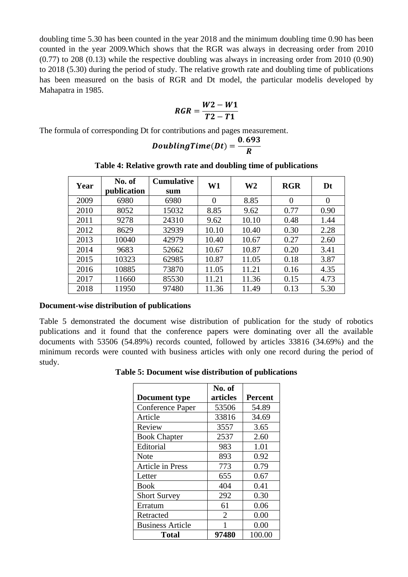doubling time 5.30 has been counted in the year 2018 and the minimum doubling time 0.90 has been counted in the year 2009.Which shows that the RGR was always in decreasing order from 2010 (0.77) to 208 (0.13) while the respective doubling was always in increasing order from 2010 (0.90) to 2018 (5.30) during the period of study. The relative growth rate and doubling time of publications has been measured on the basis of RGR and Dt model, the particular modelis developed by Mahapatra in 1985.

$$
RGR = \frac{W2 - W1}{T2 - T1}
$$

The formula of corresponding Dt for contributions and pages measurement.

$$
DoublingTime(Dt) = \frac{0.693}{R}
$$

| Year | No. of      | <b>Cumulative</b> | W1    | W <sub>2</sub> | <b>RGR</b> | Dt       |
|------|-------------|-------------------|-------|----------------|------------|----------|
|      | publication | sum               |       |                |            |          |
| 2009 | 6980        | 6980              | 0     | 8.85           | $\theta$   | $\Omega$ |
| 2010 | 8052        | 15032             | 8.85  | 9.62           | 0.77       | 0.90     |
| 2011 | 9278        | 24310             | 9.62  | 10.10          | 0.48       | 1.44     |
| 2012 | 8629        | 32939             | 10.10 | 10.40          | 0.30       | 2.28     |
| 2013 | 10040       | 42979             | 10.40 | 10.67          | 0.27       | 2.60     |
| 2014 | 9683        | 52662             | 10.67 | 10.87          | 0.20       | 3.41     |
| 2015 | 10323       | 62985             | 10.87 | 11.05          | 0.18       | 3.87     |
| 2016 | 10885       | 73870             | 11.05 | 11.21          | 0.16       | 4.35     |
| 2017 | 11660       | 85530             | 11.21 | 11.36          | 0.15       | 4.73     |
| 2018 | 11950       | 97480             | 11.36 | 11.49          | 0.13       | 5.30     |

#### **Table 4: Relative growth rate and doubling time of publications**

#### **Document-wise distribution of publications**

Table 5 demonstrated the document wise distribution of publication for the study of robotics publications and it found that the conference papers were dominating over all the available documents with 53506 (54.89%) records counted, followed by articles 33816 (34.69%) and the minimum records were counted with business articles with only one record during the period of study.

**Table 5: Document wise distribution of publications**

|                         | No. of   |                |
|-------------------------|----------|----------------|
| <b>Document type</b>    | articles | <b>Percent</b> |
| Conference Paper        | 53506    | 54.89          |
| Article                 | 33816    | 34.69          |
| Review                  | 3557     | 3.65           |
| <b>Book Chapter</b>     | 2537     | 2.60           |
| Editorial               | 983      | 1.01           |
| Note                    | 893      | 0.92           |
| <b>Article in Press</b> | 773      | 0.79           |
| Letter                  | 655      | 0.67           |
| <b>Book</b>             | 404      | 0.41           |
| <b>Short Survey</b>     | 292      | 0.30           |
| Erratum                 | 61       | 0.06           |
| Retracted               | 2        | 0.00           |
| <b>Business Article</b> | 1        | 0.00           |
| Total                   | 97480    | 100.00         |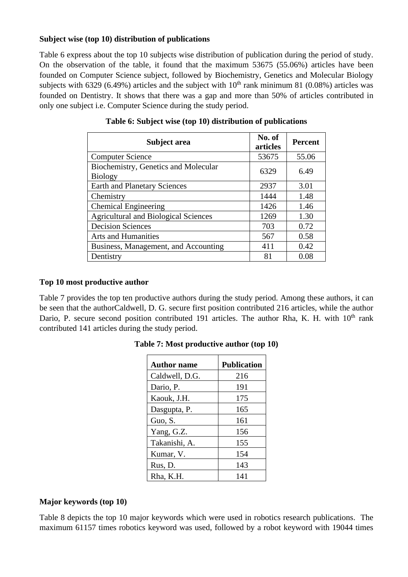## **Subject wise (top 10) distribution of publications**

Table 6 express about the top 10 subjects wise distribution of publication during the period of study. On the observation of the table, it found that the maximum 53675 (55.06%) articles have been founded on Computer Science subject, followed by Biochemistry, Genetics and Molecular Biology subjects with 6329 (6.49%) articles and the subject with  $10<sup>th</sup>$  rank minimum 81 (0.08%) articles was founded on Dentistry. It shows that there was a gap and more than 50% of articles contributed in only one subject i.e. Computer Science during the study period.

| Subject area                                           | No. of<br>articles | <b>Percent</b> |
|--------------------------------------------------------|--------------------|----------------|
| <b>Computer Science</b>                                | 53675              | 55.06          |
| Biochemistry, Genetics and Molecular<br><b>Biology</b> | 6329               | 6.49           |
| <b>Earth and Planetary Sciences</b>                    | 2937               | 3.01           |
| Chemistry                                              | 1444               | 1.48           |
| <b>Chemical Engineering</b>                            | 1426               | 1.46           |
| <b>Agricultural and Biological Sciences</b>            | 1269               | 1.30           |
| <b>Decision Sciences</b>                               | 703                | 0.72           |
| Arts and Humanities                                    | 567                | 0.58           |
| Business, Management, and Accounting                   | 411                | 0.42           |
| Dentistry                                              | 81                 | 0.08           |

## **Top 10 most productive author**

Table 7 provides the top ten productive authors during the study period. Among these authors, it can be seen that the authorCaldwell, D. G. secure first position contributed 216 articles, while the author Dario, P. secure second position contributed 191 articles. The author Rha, K. H. with  $10<sup>th</sup>$  rank contributed 141 articles during the study period.

| <b>Author name</b> | <b>Publication</b> |
|--------------------|--------------------|
| Caldwell, D.G.     | 216                |
| Dario, P.          | 191                |
| Kaouk, J.H.        | 175                |
| Dasgupta, P.       | 165                |
| Guo, S.            | 161                |
| Yang, G.Z.         | 156                |
| Takanishi, A.      | 155                |
| Kumar, V.          | 154                |
| Rus, D.            | 143                |
| Rha, K.H.          | 141                |

**Table 7: Most productive author (top 10)**

## **Major keywords (top 10)**

Table 8 depicts the top 10 major keywords which were used in robotics research publications. The maximum 61157 times robotics keyword was used, followed by a robot keyword with 19044 times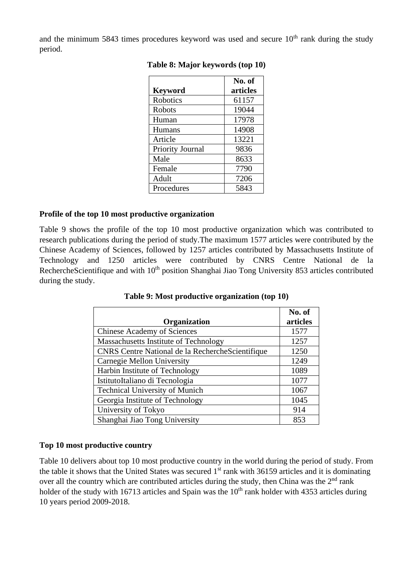and the minimum 5843 times procedures keyword was used and secure  $10<sup>th</sup>$  rank during the study period.

| <b>Keyword</b>   | No. of<br>articles |
|------------------|--------------------|
| Robotics         | 61157              |
| <b>Robots</b>    | 19044              |
| Human            | 17978              |
| Humans           | 14908              |
| Article          | 13221              |
| Priority Journal | 9836               |
| Male             | 8633               |
| Female           | 7790               |
| Adult            | 7206               |
| Procedures       | 5843               |

**Table 8: Major keywords (top 10)**

## **Profile of the top 10 most productive organization**

Table 9 shows the profile of the top 10 most productive organization which was contributed to research publications during the period of study.The maximum 1577 articles were contributed by the Chinese Academy of Sciences, followed by 1257 articles contributed by Massachusetts Institute of Technology and 1250 articles were contributed by CNRS Centre National de la RechercheScientifique and with 10<sup>th</sup> position Shanghai Jiao Tong University 853 articles contributed during the study.

|                                                  | No. of   |
|--------------------------------------------------|----------|
| Organization                                     | articles |
| <b>Chinese Academy of Sciences</b>               | 1577     |
| Massachusetts Institute of Technology            | 1257     |
| CNRS Centre National de la RechercheScientifique | 1250     |
| Carnegie Mellon University                       | 1249     |
| Harbin Institute of Technology                   | 1089     |
| IstitutoItaliano di Tecnologia                   | 1077     |
| <b>Technical University of Munich</b>            | 1067     |
| Georgia Institute of Technology                  | 1045     |
| University of Tokyo                              | 914      |
| Shanghai Jiao Tong University                    | 853      |

**Table 9: Most productive organization (top 10)**

#### **Top 10 most productive country**

Table 10 delivers about top 10 most productive country in the world during the period of study. From the table it shows that the United States was secured  $1<sup>st</sup>$  rank with 36159 articles and it is dominating over all the country which are contributed articles during the study, then China was the  $2<sup>nd</sup>$  rank holder of the study with 16713 articles and Spain was the  $10<sup>th</sup>$  rank holder with 4353 articles during 10 years period 2009-2018.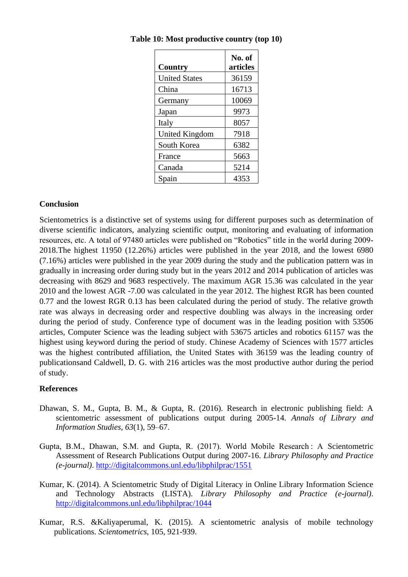|                       | No. of   |
|-----------------------|----------|
| Country               | articles |
| <b>United States</b>  | 36159    |
| China                 | 16713    |
| Germany               | 10069    |
| Japan                 | 9973     |
| Italy                 | 8057     |
| <b>United Kingdom</b> | 7918     |
| South Korea           | 6382     |
| France                | 5663     |
| Canada                | 5214     |
| Spain                 | 4353     |

**Table 10: Most productive country (top 10)**

#### **Conclusion**

Scientometrics is a distinctive set of systems using for different purposes such as determination of diverse scientific indicators, analyzing scientific output, monitoring and evaluating of information resources, etc. A total of 97480 articles were published on "Robotics" title in the world during 2009- 2018.The highest 11950 (12.26%) articles were published in the year 2018, and the lowest 6980 (7.16%) articles were published in the year 2009 during the study and the publication pattern was in gradually in increasing order during study but in the years 2012 and 2014 publication of articles was decreasing with 8629 and 9683 respectively. The maximum AGR 15.36 was calculated in the year 2010 and the lowest AGR -7.00 was calculated in the year 2012. The highest RGR has been counted 0.77 and the lowest RGR 0.13 has been calculated during the period of study. The relative growth rate was always in decreasing order and respective doubling was always in the increasing order during the period of study. Conference type of document was in the leading position with 53506 articles, Computer Science was the leading subject with 53675 articles and robotics 61157 was the highest using keyword during the period of study. Chinese Academy of Sciences with 1577 articles was the highest contributed affiliation, the United States with 36159 was the leading country of publicationsand Caldwell, D. G. with 216 articles was the most productive author during the period of study.

#### **References**

- Dhawan, S. M., Gupta, B. M., & Gupta, R. (2016). Research in electronic publishing field: A scientometric assessment of publications output during 2005-14. *Annals of Library and Information Studies*, *63*(1), 59–67.
- Gupta, B.M., Dhawan, S.M. and Gupta, R. (2017). World Mobile Research: A Scientometric Assessment of Research Publications Output during 2007-16. *Library Philosophy and Practice (e-journal)*.<http://digitalcommons.unl.edu/libphilprac/1551>
- Kumar, K. (2014). A Scientometric Study of Digital Literacy in Online Library Information Science and Technology Abstracts (LISTA). *Library Philosophy and Practice (e-journal)*. <http://digitalcommons.unl.edu/libphilprac/1044>
- Kumar, R.S. &Kaliyaperumal, K. (2015). A scientometric analysis of mobile technology publications. *Scientometrics*, 105, 921-939.